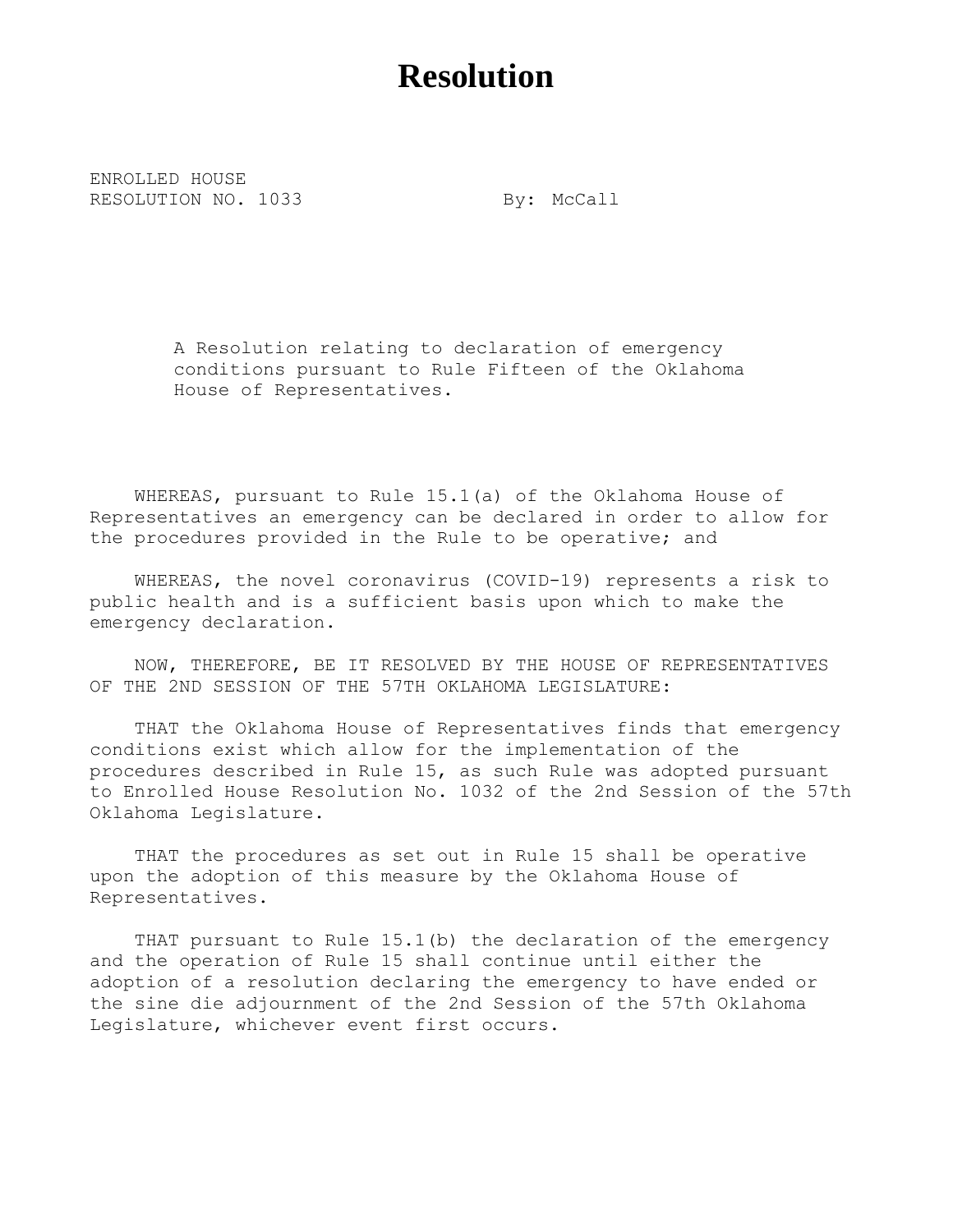## **Resolution**

ENROLLED HOUSE RESOLUTION NO. 1033 By: McCall

A Resolution relating to declaration of emergency conditions pursuant to Rule Fifteen of the Oklahoma House of Representatives.

WHEREAS, pursuant to Rule 15.1(a) of the Oklahoma House of Representatives an emergency can be declared in order to allow for the procedures provided in the Rule to be operative; and

WHEREAS, the novel coronavirus (COVID-19) represents a risk to public health and is a sufficient basis upon which to make the emergency declaration.

NOW, THEREFORE, BE IT RESOLVED BY THE HOUSE OF REPRESENTATIVES OF THE 2ND SESSION OF THE 57TH OKLAHOMA LEGISLATURE:

THAT the Oklahoma House of Representatives finds that emergency conditions exist which allow for the implementation of the procedures described in Rule 15, as such Rule was adopted pursuant to Enrolled House Resolution No. 1032 of the 2nd Session of the 57th Oklahoma Legislature.

THAT the procedures as set out in Rule 15 shall be operative upon the adoption of this measure by the Oklahoma House of Representatives.

THAT pursuant to Rule 15.1(b) the declaration of the emergency and the operation of Rule 15 shall continue until either the adoption of a resolution declaring the emergency to have ended or the sine die adjournment of the 2nd Session of the 57th Oklahoma Legislature, whichever event first occurs.